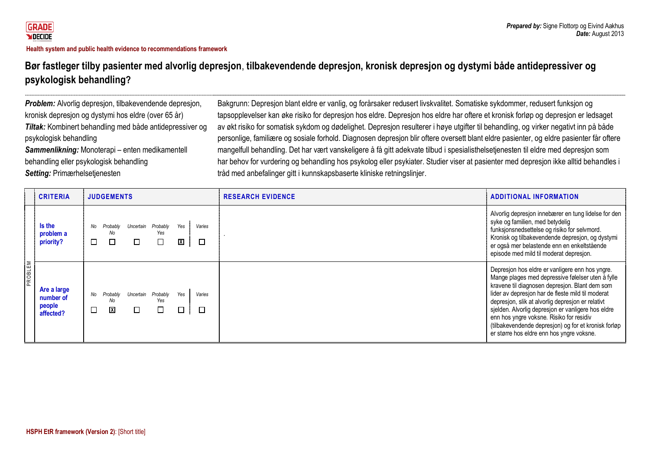<span id="page-0-0"></span>

### **[Health system and public health evidence to recommendations framework](file:///C:/Users/aox/AppData/Local/Microsoft/Windows/Temporary%20Internet%20Files/Content.Outlook/A5320PQD/EtR%20Explanations%202012%2009%2005%20ado.docx)**

# **Bør fastleger tilby pasienter med alvorlig depresjon**, **tilbakevendende depresjon, kronisk depresjon og dystymi både antidepressiver og psykologisk behandling?**

*Problem:* Alvorlig depresjon, tilbakevendende depresjon, kronisk depresjon og dystymi hos eldre (over 65 år) *Tiltak:* Kombinert behandling med både antidepressiver og psykologisk behandling *Sammenlikning:* Monoterapi – enten medikamentell behandling eller psykologisk behandling *Setting:* Primærhelsetjenesten

<span id="page-0-2"></span><span id="page-0-1"></span>Bakgrunn: Depresjon blant eldre er vanlig, og forårsaker redusert livskvalitet. Somatiske sykdommer, redusert funksjon og tapsopplevelser kan øke risiko for depresjon hos eldre. Depresjon hos eldre har oftere et kronisk forløp og depresjon er ledsaget av økt risiko for somatisk sykdom og dødelighet. Depresjon resulterer i høye utgifter til behandling, og virker negativt inn på både personlige, familiære og sosiale forhold. Diagnosen depresjon blir oftere oversett blant eldre pasienter, og eldre pasienter får oftere mangelfull behandling. Det har vært vanskeligere å få gitt adekvate tilbud i spesialisthelsetjenesten til eldre med depresjon som har behov for vurdering og behandling hos psykolog eller psykiater. Studier viser at pasienter med depresjon ikke alltid behandles i tråd med anbefalinger gitt i kunnskapsbaserte kliniske retningslinjer.

|         | <b>CRITERIA</b>                                 | <b>JUDGEMENTS</b>                                                                                                  | <b>RESEARCH EVIDENCE</b> | <b>ADDITIONAL INFORMATION</b>                                                                                                                                                                                                                                                                                                                                                                                                                                           |
|---------|-------------------------------------------------|--------------------------------------------------------------------------------------------------------------------|--------------------------|-------------------------------------------------------------------------------------------------------------------------------------------------------------------------------------------------------------------------------------------------------------------------------------------------------------------------------------------------------------------------------------------------------------------------------------------------------------------------|
|         | Is the<br>problem a<br>priority?                | Varies<br>Yes<br>Probably<br>Uncertain<br>Probably<br>No<br>Yes<br>No<br>Ω<br>$\Box$<br>口<br>$\Box$<br>$\Box$<br>X |                          | Alvorlig depresjon innebærer en tung lidelse for den<br>syke og familien, med betydelig<br>funksjonsnedsettelse og risiko for selvmord.<br>Kronisk og tilbakevendende depresjon, og dystymi<br>er også mer belastende enn en enkeltstående<br>episode med mild til moderat depresjon.                                                                                                                                                                                   |
| PROBLEM | Are a large<br>number of<br>people<br>affected? | Yes<br>Varies<br>No Probably<br>Uncertain<br>Probably<br>No<br>Yes<br>$\Box$<br>X<br>$\square$<br>$\Box$           |                          | Depresjon hos eldre er vanligere enn hos yngre.<br>Mange plages med depressive følelser uten å fylle<br>kravene til diagnosen depresjon. Blant dem som<br>lider av depresjon har de fleste mild til moderat<br>depresjon, slik at alvorlig depresjon er relativt<br>sjelden. Alvorlig depresjon er vanligere hos eldre<br>enn hos yngre voksne. Risiko for residiv<br>(tilbakevendende depresjon) og for et kronisk forløp<br>er større hos eldre enn hos yngre voksne. |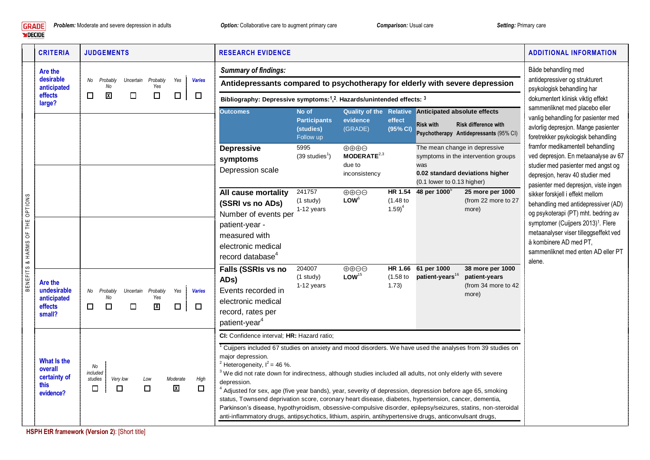

|                           | <b>CRITERIA</b>                                             | <b>JUDGEMENTS</b>                                                                                                              | <b>RESEARCH EVIDENCE</b>                                                                                                                                                                                                                                                                                                                                                                                                                                                                                                                                                                                                                                                                                                                                                           | <b>ADDITIONAL INFORMATION</b>                                                                                                                                                                                                                                                       |
|---------------------------|-------------------------------------------------------------|--------------------------------------------------------------------------------------------------------------------------------|------------------------------------------------------------------------------------------------------------------------------------------------------------------------------------------------------------------------------------------------------------------------------------------------------------------------------------------------------------------------------------------------------------------------------------------------------------------------------------------------------------------------------------------------------------------------------------------------------------------------------------------------------------------------------------------------------------------------------------------------------------------------------------|-------------------------------------------------------------------------------------------------------------------------------------------------------------------------------------------------------------------------------------------------------------------------------------|
|                           | Are the<br>desirable<br>anticipated<br>effects              | Probably<br>Probably<br>Yes<br><b>Varies</b><br>No<br>Uncertain<br>No<br>Yes<br>$\mathbf x$<br>$\Box$                          | <b>Summary of findings:</b><br>Antidepressants compared to psychotherapy for elderly with severe depression                                                                                                                                                                                                                                                                                                                                                                                                                                                                                                                                                                                                                                                                        | Både behandling med<br>antidepressiver og strukturert<br>psykologisk behandling har<br>dokumentert klinisk viktig effekt                                                                                                                                                            |
|                           | large?                                                      | $\Box$<br>$\Box$<br>◻<br>$\Box$                                                                                                | Bibliography: Depressive symptoms: <sup>1</sup> , <sup>2</sup> . Hazards/unintended effects: <sup>3</sup>                                                                                                                                                                                                                                                                                                                                                                                                                                                                                                                                                                                                                                                                          |                                                                                                                                                                                                                                                                                     |
|                           |                                                             |                                                                                                                                | No of<br>Quality of the Relative Anticipated absolute effects<br><b>Outcomes</b><br><b>Participants</b><br>evidence<br>effect<br><b>Risk with</b><br>Risk difference with<br>(95% C)<br>(studies)<br>(GRADE)<br>Psychotherapy Antidepressants (95% CI)<br>Follow up                                                                                                                                                                                                                                                                                                                                                                                                                                                                                                                | sammenliknet med placebo eller<br>vanlig behandling for pasienter med<br>avlorlig depresjon. Mange pasienter<br>foretrekker psykologisk behandling                                                                                                                                  |
|                           |                                                             |                                                                                                                                | 5995<br>The mean change in depressive<br>$\oplus \oplus \oplus$<br><b>Depressive</b><br>MODERATE <sup>2,3</sup><br>$(39 \text{ studies}^1)$<br>symptoms in the intervention groups<br>symptoms<br>due to<br>was<br>Depression scale<br>0.02 standard deviations higher<br>inconsistency<br>(0.1 lower to 0.13 higher)                                                                                                                                                                                                                                                                                                                                                                                                                                                              | framfor medikamentell behandling<br>ved depresjon. En metaanalyse av 67<br>studier med pasienter med angst og<br>depresjon, herav 40 studier med<br>pasienter med depresjon, viste ingen                                                                                            |
| OPTIONS<br>& HARMS OF THE |                                                             |                                                                                                                                | 241757<br>HR 1.54<br>48 per 1000 <sup>5</sup><br>All cause mortality<br>$\oplus \oplus \ominus$<br>25 more per 1000<br>LOW <sup>6</sup><br>$(1.48$ to<br>(from 22 more to 27<br>$(1$ study $)$<br>(SSRI vs no ADs)<br>$1.59)^4$<br>1-12 years<br>more)<br>Number of events per<br>patient-year -<br>measured with<br>electronic medical<br>record database <sup>4</sup>                                                                                                                                                                                                                                                                                                                                                                                                            | sikker forskjell i effekt mellom<br>behandling med antidepressiver (AD)<br>og psykoterapi (PT) mht. bedring av<br>symptomer (Cuijpers 2013) <sup>1</sup> . Flere<br>metaanalyser viser tilleggseffekt ved<br>å kombinere AD med PT,<br>sammenliknet med enten AD eller PT<br>alene. |
| BENEFITS                  | Are the<br>undesirable<br>anticipated<br>effects<br>small?  | Probably<br>Probably<br>Yes<br><b>Varies</b><br>No<br>Uncertain<br>No<br>Yes<br>$\Box$<br>X<br>$\Box$<br>$\Box$<br>$\Box$<br>□ | 204007<br>HR 1.66<br>61 per 1000<br>38 more per 1000<br>Falls (SSRIs vs no<br>$\oplus \oplus \ominus$<br>patient-years <sup>16</sup><br>LOW <sup>15</sup><br>$(1.58$ to<br>patient-years<br>$(1$ study $)$<br>ADs)<br>1.73)<br>(from 34 more to 42<br>1-12 years<br>Events recorded in<br>more)<br>electronic medical<br>record, rates per<br>patient-year <sup>4</sup>                                                                                                                                                                                                                                                                                                                                                                                                            |                                                                                                                                                                                                                                                                                     |
|                           |                                                             |                                                                                                                                | CI: Confidence interval; HR: Hazard ratio;                                                                                                                                                                                                                                                                                                                                                                                                                                                                                                                                                                                                                                                                                                                                         |                                                                                                                                                                                                                                                                                     |
|                           | What Is the<br>overall<br>certainty of<br>this<br>evidence? | No<br>included<br>studies<br>Very low<br>High<br>Low<br>Moderate<br>X<br>$\Box$<br>$\Box$<br>$\Box$<br>口                       | Cuijpers included 67 studies on anxiety and mood disorders. We have used the analyses from 39 studies on<br>major depression.<br><sup>2</sup> Heterogeneity, $I^2$ = 46 %.<br><sup>3</sup> We did not rate down for indirectness, although studies included all adults, not only elderly with severe<br>depression.<br><sup>4</sup> Adjusted for sex, age (five year bands), year, severity of depression, depression before age 65, smoking<br>status, Townsend deprivation score, coronary heart disease, diabetes, hypertension, cancer, dementia,<br>Parkinson's disease, hypothyroidism, obsessive-compulsive disorder, epilepsy/seizures, statins, non-steroidal<br>anti-inflammatory drugs, antipsychotics, lithium, aspirin, antihypertensive drugs, anticonvulsant drugs, |                                                                                                                                                                                                                                                                                     |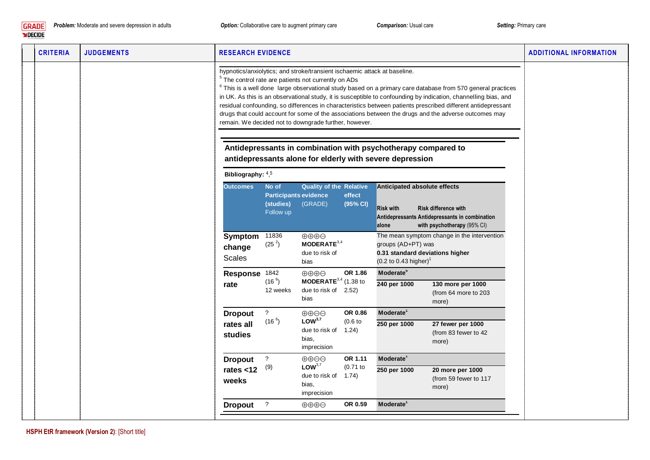

| <b>CRITERIA</b> | <b>JUDGEMENTS</b> | <b>RESEARCH EVIDENCE</b>                                                                                                                                                                                                                                                                                                                                                                                                                                                                                                                                                                                                                                          |                                                        |                                                                         |                    |                                                                                                                           |                                                                                                              | <b>ADDITIONAL INFORMATION</b> |
|-----------------|-------------------|-------------------------------------------------------------------------------------------------------------------------------------------------------------------------------------------------------------------------------------------------------------------------------------------------------------------------------------------------------------------------------------------------------------------------------------------------------------------------------------------------------------------------------------------------------------------------------------------------------------------------------------------------------------------|--------------------------------------------------------|-------------------------------------------------------------------------|--------------------|---------------------------------------------------------------------------------------------------------------------------|--------------------------------------------------------------------------------------------------------------|-------------------------------|
|                 |                   | hypnotics/anxiolytics; and stroke/transient ischaemic attack at baseline.<br><sup>5</sup> The control rate are patients not currently on ADs<br>$6$ This is a well done large observational study based on a primary care database from 570 general practices<br>in UK. As this is an observational study, it is susceptible to confounding by indication, channelling bias, and<br>residual confounding, so differences in characteristics between patients prescribed different antidepressant<br>drugs that could account for some of the associations between the drugs and the adverse outcomes may<br>remain. We decided not to downgrade further, however. |                                                        |                                                                         |                    |                                                                                                                           |                                                                                                              |                               |
|                 |                   | Bibliography: 4,5                                                                                                                                                                                                                                                                                                                                                                                                                                                                                                                                                                                                                                                 |                                                        |                                                                         |                    | Antidepressants in combination with psychotherapy compared to<br>antidepressants alone for elderly with severe depression |                                                                                                              |                               |
|                 |                   | <b>Outcomes</b>                                                                                                                                                                                                                                                                                                                                                                                                                                                                                                                                                                                                                                                   | No of                                                  | <b>Quality of the Relative</b>                                          |                    | <b>Anticipated absolute effects</b>                                                                                       |                                                                                                              |                               |
|                 |                   |                                                                                                                                                                                                                                                                                                                                                                                                                                                                                                                                                                                                                                                                   | <b>Participants evidence</b><br>(studies)<br>Follow up | (GRADE)                                                                 | effect<br>(95% CI) | <b>Risk with</b><br>alone                                                                                                 | <b>Risk difference with</b><br>Antidepressants Antidepressants in combination<br>with psychotherapy (95% CI) |                               |
|                 |                   | Symptom<br>change<br><b>Scales</b>                                                                                                                                                                                                                                                                                                                                                                                                                                                                                                                                                                                                                                | 11836<br>(25 <sup>2</sup> )                            | $\oplus \oplus \oplus$<br>$MODERATE^{3,4}$<br>due to risk of<br>bias    |                    | groups (AD+PT) was<br>0.31 standard deviations higher<br>$(0.2 \text{ to } 0.43 \text{ higher})^1$                        | The mean symptom change in the intervention                                                                  |                               |
|                 |                   | Response 1842                                                                                                                                                                                                                                                                                                                                                                                                                                                                                                                                                                                                                                                     |                                                        | $\oplus \oplus \oplus$                                                  | OR 1.86            | Moderate <sup>5</sup>                                                                                                     |                                                                                                              |                               |
|                 |                   | rate                                                                                                                                                                                                                                                                                                                                                                                                                                                                                                                                                                                                                                                              | (16 <sup>6</sup> )<br>12 weeks                         | <b>MODERATE</b> <sup>3,4</sup> (1.38 to<br>due to risk of 2.52)<br>bias |                    | 240 per 1000                                                                                                              | 130 more per 1000<br>(from 64 more to 203<br>more)                                                           |                               |
|                 |                   | <b>Dropout</b>                                                                                                                                                                                                                                                                                                                                                                                                                                                                                                                                                                                                                                                    | $\tilde{?}$                                            | $\oplus \oplus \ominus$                                                 | OR 0.86            | Moderate <sup>1</sup>                                                                                                     |                                                                                                              |                               |
|                 |                   | rates all<br>studies                                                                                                                                                                                                                                                                                                                                                                                                                                                                                                                                                                                                                                              | (16 <sup>6</sup> )                                     | LOW <sup>3,7</sup><br>due to risk of 1.24)<br>bias,<br>imprecision      | $(0.6)$ to         | 250 per 1000                                                                                                              | 27 fewer per 1000<br>(from 83 fewer to 42<br>more)                                                           |                               |
|                 |                   | <b>Dropout</b>                                                                                                                                                                                                                                                                                                                                                                                                                                                                                                                                                                                                                                                    | $\tilde{?}$                                            | $\oplus \oplus \ominus$                                                 | OR 1.11            | Moderate <sup>1</sup>                                                                                                     |                                                                                                              |                               |
|                 |                   | rates < $12^{(9)}$<br>weeks                                                                                                                                                                                                                                                                                                                                                                                                                                                                                                                                                                                                                                       |                                                        | LOW <sup>3,7</sup><br>due to risk of 1.74)<br>bias,<br>imprecision      | $(0.71$ to         | 250 per 1000                                                                                                              | 20 more per 1000<br>(from 59 fewer to 117<br>more)                                                           |                               |
|                 |                   | <b>Dropout</b>                                                                                                                                                                                                                                                                                                                                                                                                                                                                                                                                                                                                                                                    | $\overline{\mathbf{?}}$                                | $\oplus \oplus \oplus \ominus$                                          | OR 0.59            | Moderate <sup>1</sup>                                                                                                     |                                                                                                              |                               |
|                 |                   |                                                                                                                                                                                                                                                                                                                                                                                                                                                                                                                                                                                                                                                                   |                                                        |                                                                         |                    |                                                                                                                           |                                                                                                              |                               |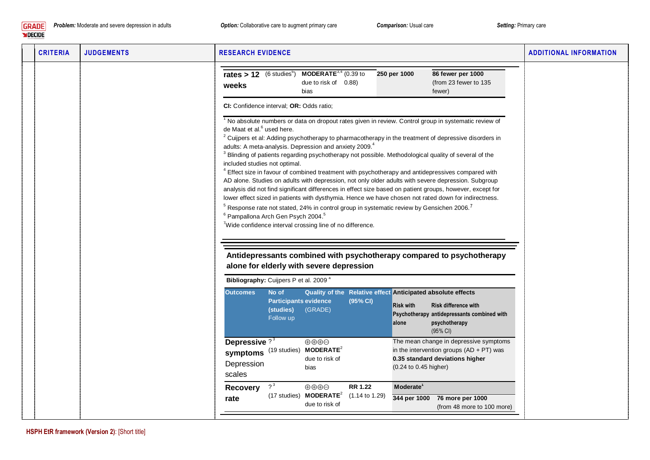

| <b>CRITERIA</b> | <b>JUDGEMENTS</b> | <b>RESEARCH EVIDENCE</b>                                                                                                                                                                                                                                                                                                                                                                                                                                                                                                                                                                                                                                                                                                                                                                                                                                                                                                                                                                                                                                                                                                                                                                                                                                                                                                                                                          | <b>ADDITIONAL INFORMATION</b> |
|-----------------|-------------------|-----------------------------------------------------------------------------------------------------------------------------------------------------------------------------------------------------------------------------------------------------------------------------------------------------------------------------------------------------------------------------------------------------------------------------------------------------------------------------------------------------------------------------------------------------------------------------------------------------------------------------------------------------------------------------------------------------------------------------------------------------------------------------------------------------------------------------------------------------------------------------------------------------------------------------------------------------------------------------------------------------------------------------------------------------------------------------------------------------------------------------------------------------------------------------------------------------------------------------------------------------------------------------------------------------------------------------------------------------------------------------------|-------------------------------|
|                 |                   | $MODERATE3,4 (0.39 to$<br>rates > 12 $(6 \text{ studies}^6)$<br>250 per 1000<br>86 fewer per 1000<br>due to risk of 0.88)<br>(from 23 fewer to 135<br>weeks<br>fewer)<br>bias                                                                                                                                                                                                                                                                                                                                                                                                                                                                                                                                                                                                                                                                                                                                                                                                                                                                                                                                                                                                                                                                                                                                                                                                     |                               |
|                 |                   | CI: Confidence interval; OR: Odds ratio;<br><sup>1</sup> No absolute numbers or data on dropout rates given in review. Control group in systematic review of<br>de Maat et al. <sup>6</sup> used here.<br><sup>2</sup> Cuijpers et al: Adding psychotherapy to pharmacotherapy in the treatment of depressive disorders in<br>adults: A meta-analysis. Depression and anxiety 2009. <sup>4</sup><br><sup>3</sup> Blinding of patients regarding psychotherapy not possible. Methodological quality of several of the<br>included studies not optimal.<br><sup>4</sup> Effect size in favour of combined treatment with psychotherapy and antidepressives compared with<br>AD alone. Studies on adults with depression, not only older adults with severe depression. Subgroup<br>analysis did not find significant differences in effect size based on patient groups, however, except for<br>lower effect sized in patients with dysthymia. Hence we have chosen not rated down for indirectness.<br><sup>5</sup> Response rate not stated, 24% in control group in systematic review by Gensichen 2006. <sup>7</sup><br><sup>6</sup> Pampallona Arch Gen Psych 2004. <sup>5</sup><br><sup>7</sup> Wide confidence interval crossing line of no difference.<br>Antidepressants combined with psychotherapy compared to psychotherapy<br>alone for elderly with severe depression |                               |
|                 |                   | Bibliography: Cuijpers P et al. 2009 <sup>4</sup>                                                                                                                                                                                                                                                                                                                                                                                                                                                                                                                                                                                                                                                                                                                                                                                                                                                                                                                                                                                                                                                                                                                                                                                                                                                                                                                                 |                               |
|                 |                   | <b>Outcomes</b><br>Quality of the Relative effect Anticipated absolute effects<br>No of<br><b>Participants evidence</b><br>(95% CI)<br><b>Risk with</b><br><b>Risk difference with</b><br>(studies)<br>(GRADE)<br>Psychotherapy antidepressants combined with<br>Follow up<br>alone<br>psychotherapy<br>(95% CI)                                                                                                                                                                                                                                                                                                                                                                                                                                                                                                                                                                                                                                                                                                                                                                                                                                                                                                                                                                                                                                                                  |                               |
|                 |                   | Depressive? <sup>3</sup><br>$\oplus \oplus \oplus$<br>The mean change in depressive symptoms<br><b>symptoms</b> (19 studies) MODERATE <sup>2</sup><br>in the intervention groups $(AD + PT)$ was<br>0.35 standard deviations higher<br>due to risk of<br>Depression<br>(0.24 to 0.45 higher)<br>bias<br>scales                                                                                                                                                                                                                                                                                                                                                                                                                                                                                                                                                                                                                                                                                                                                                                                                                                                                                                                                                                                                                                                                    |                               |
|                 |                   | $2^3$<br><b>RR 1.22</b><br>Moderate <sup>1</sup><br>$\oplus\oplus\oplus$<br>Recovery<br>(17 studies) <b>MODERATE</b> <sup>2</sup><br>$(1.14 \text{ to } 1.29)$<br>344 per 1000<br>76 more per 1000<br>rate<br>due to risk of<br>(from 48 more to 100 more)                                                                                                                                                                                                                                                                                                                                                                                                                                                                                                                                                                                                                                                                                                                                                                                                                                                                                                                                                                                                                                                                                                                        |                               |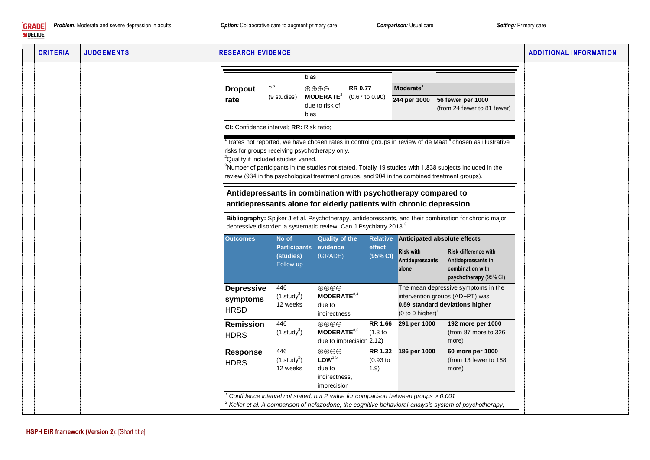

| <b>CRITERIA</b> | <b>JUDGEMENTS</b> | <b>RESEARCH EVIDENCE</b>                                                                                                                                                 |                                                                       |                                                                                                                                                                                                                                              |                               |                                              |                                                                                                                                                                                                                                                                                    | <b>ADDITIONAL INFORMATION</b> |
|-----------------|-------------------|--------------------------------------------------------------------------------------------------------------------------------------------------------------------------|-----------------------------------------------------------------------|----------------------------------------------------------------------------------------------------------------------------------------------------------------------------------------------------------------------------------------------|-------------------------------|----------------------------------------------|------------------------------------------------------------------------------------------------------------------------------------------------------------------------------------------------------------------------------------------------------------------------------------|-------------------------------|
|                 |                   | <b>Dropout</b><br>rate<br>CI: Confidence interval; RR: Risk ratio;<br>risks for groups receiving psychotherapy only.<br><sup>2</sup> Quality if included studies varied. | bias<br>$2^3$<br>(9 studies)<br>bias                                  | $\oplus \oplus \oplus \ominus$<br><b>RR 0.77</b><br>MODERATE <sup>2</sup><br>due to risk of<br>review (934 in the psychological treatment groups, and 904 in the combined treatment groups).                                                 | $(0.67 \text{ to } 0.90)$     | Moderate <sup>1</sup><br>244 per 1000        | 56 fewer per 1000<br>(from 24 fewer to 81 fewer)<br>$1$ Rates not reported, we have chosen rates in control groups in review of de Maat $6$ chosen as illustrative<br>$3$ Number of participants in the studies not stated. Totally 19 studies with 1,838 subjects included in the |                               |
|                 |                   | <b>Outcomes</b>                                                                                                                                                          | No of<br>Participants evidence<br>(studies)<br>Follow up              | Antidepressants in combination with psychotherapy compared to<br>antidepressants alone for elderly patients with chronic depression<br>depressive disorder: a systematic review. Can J Psychiatry 2013 8<br><b>Quality of the</b><br>(GRADE) | effect<br>(95% CI)            | <b>Risk with</b><br>Antidepressants<br>alone | Bibliography: Spijker J et al. Psychotherapy, antidepressants, and their combination for chronic major<br>Relative Anticipated absolute effects<br><b>Risk difference with</b><br>Antidepressants in<br>combination with                                                           |                               |
|                 |                   | <b>Depressive</b><br>symptoms<br><b>HRSD</b><br><b>Remission</b>                                                                                                         | 446<br>$(1$ study <sup>2</sup> )<br>12 weeks<br>446                   | $\oplus \oplus \oplus \ominus$<br>MODERATE <sup>3,4</sup><br>due to<br>indirectness<br>$\oplus \oplus \oplus \ominus$                                                                                                                        |                               | (0 to 0 higher) $1$<br>RR 1.66 291 per 1000  | psychotherapy (95% CI)<br>The mean depressive symptoms in the<br>intervention groups (AD+PT) was<br>0.59 standard deviations higher<br>192 more per 1000                                                                                                                           |                               |
|                 |                   | <b>HDRS</b><br><b>Response</b><br><b>HDRS</b>                                                                                                                            | $(1$ study <sup>2</sup> )<br>446<br>$(1 \text{ study}^2)$<br>12 weeks | MODERATE <sup>3,5</sup><br>due to imprecision 2.12)<br>$\oplus \oplus \ominus$<br>$LOW^{3,5}$<br>due to<br>indirectness,                                                                                                                     | (1.3)<br>$(0.93)$ to<br>(1.9) | RR 1.32 186 per 1000                         | (from 87 more to 326<br>more)<br>60 more per 1000<br>(from 13 fewer to 168<br>more)                                                                                                                                                                                                |                               |
|                 |                   |                                                                                                                                                                          |                                                                       | imprecision<br><sup>1</sup> Confidence interval not stated, but P value for comparison between groups > 0.001                                                                                                                                |                               |                                              | $2$ Keller et al. A comparison of nefazodone, the cognitive behavioral-analysis system of psychotherapy,                                                                                                                                                                           |                               |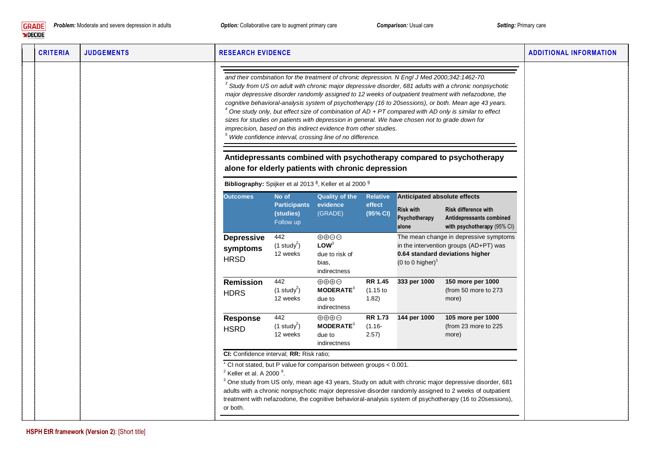

| <b>CRITERIA</b> | <b>JUDGEMENTS</b> | <b>RESEARCH EVIDENCE</b>                                                                                                                                                                                                                                                                                                             |                                                                 |                                                                                                                                                                                                                                                                                                                                                                                                                                                  |                                       |                                                                            |                                                                                                                                                                                                                                                                                                                                           | <b>ADDITIONAL INFORMATION</b> |
|-----------------|-------------------|--------------------------------------------------------------------------------------------------------------------------------------------------------------------------------------------------------------------------------------------------------------------------------------------------------------------------------------|-----------------------------------------------------------------|--------------------------------------------------------------------------------------------------------------------------------------------------------------------------------------------------------------------------------------------------------------------------------------------------------------------------------------------------------------------------------------------------------------------------------------------------|---------------------------------------|----------------------------------------------------------------------------|-------------------------------------------------------------------------------------------------------------------------------------------------------------------------------------------------------------------------------------------------------------------------------------------------------------------------------------------|-------------------------------|
|                 |                   | and their combination for the treatment of chronic depression. N Engl J Med 2000;342:1462-70.<br>sizes for studies on patients with depression in general. We have chosen not to grade down for<br>imprecision, based on this indirect evidence from other studies.<br>$5$ Wide confidence interval, crossing line of no difference. |                                                                 | <sup>3</sup> Study from US on adult with chronic major depressive disorder, 681 adults with a chronic nonpsychotic<br>major depressive disorder randomly assigned to 12 weeks of outpatient treatment with nefazodone, the<br>cognitive behavioral-analysis system of psychotherapy (16 to 20 sessions), or both. Mean age 43 years.<br>$4$ One study only, but effect size of combination of AD + PT compared with AD only is similar to effect |                                       |                                                                            |                                                                                                                                                                                                                                                                                                                                           |                               |
|                 |                   |                                                                                                                                                                                                                                                                                                                                      |                                                                 | alone for elderly patients with chronic depression                                                                                                                                                                                                                                                                                                                                                                                               |                                       |                                                                            | Antidepressants combined with psychotherapy compared to psychotherapy                                                                                                                                                                                                                                                                     |                               |
|                 |                   |                                                                                                                                                                                                                                                                                                                                      |                                                                 | Bibliography: Spijker et al 2013 <sup>8</sup> , Keller et al 2000 <sup>9</sup>                                                                                                                                                                                                                                                                                                                                                                   |                                       |                                                                            |                                                                                                                                                                                                                                                                                                                                           |                               |
|                 |                   | <b>Outcomes</b>                                                                                                                                                                                                                                                                                                                      | No of<br><b>Participants evidence</b><br>(studies)<br>Follow up | <b>Quality of the</b><br>(GRADE)                                                                                                                                                                                                                                                                                                                                                                                                                 | <b>Relative</b><br>effect<br>(95% CI) | Anticipated absolute effects<br><b>Risk with</b><br>Psychotherapy<br>alone | Risk difference with<br>Antidepressants combined<br>with psychotherapy (95% CI)                                                                                                                                                                                                                                                           |                               |
|                 |                   | <b>Depressive</b><br>symptoms<br><b>HRSD</b>                                                                                                                                                                                                                                                                                         | 442<br>$(1$ study <sup>2</sup> )<br>12 weeks                    | $\oplus \oplus \ominus$<br>LOW <sup>3</sup><br>due to risk of<br>bias,<br>indirectness                                                                                                                                                                                                                                                                                                                                                           |                                       | (0 to 0 higher) $1$                                                        | The mean change in depressive symptoms<br>in the intervention groups (AD+PT) was<br>0.64 standard deviations higher                                                                                                                                                                                                                       |                               |
|                 |                   | <b>Remission</b><br><b>HDRS</b>                                                                                                                                                                                                                                                                                                      | 442<br>$(1$ study <sup>2</sup> )<br>12 weeks                    | $\oplus \oplus \oplus$<br>MODERATE <sup>3</sup><br>due to<br>indirectness                                                                                                                                                                                                                                                                                                                                                                        | <b>RR 1.45</b><br>(1.15)<br>1.82)     | 333 per 1000                                                               | 150 more per 1000<br>(from 50 more to 273<br>more)                                                                                                                                                                                                                                                                                        |                               |
|                 |                   | <b>Response</b><br><b>HSRD</b>                                                                                                                                                                                                                                                                                                       | 442<br>$(1 \text{ study}^2)$<br>12 weeks                        | $\oplus \oplus \oplus \ominus$<br><b>MODERATE<sup>3</sup></b><br>due to<br>indirectness                                                                                                                                                                                                                                                                                                                                                          | RR 1.73<br>$(1.16 -$<br>2.57)         | 144 per 1000                                                               | 105 more per 1000<br>(from 23 more to 225<br>more)                                                                                                                                                                                                                                                                                        |                               |
|                 |                   | CI: Confidence interval; RR: Risk ratio;                                                                                                                                                                                                                                                                                             |                                                                 |                                                                                                                                                                                                                                                                                                                                                                                                                                                  |                                       |                                                                            |                                                                                                                                                                                                                                                                                                                                           |                               |
|                 |                   | $2$ Keller et al. A 2000 $9$ .<br>or both.                                                                                                                                                                                                                                                                                           |                                                                 | $1$ CI not stated, but P value for comparison between groups < 0.001.                                                                                                                                                                                                                                                                                                                                                                            |                                       |                                                                            | <sup>3</sup> One study from US only, mean age 43 years, Study on adult with chronic major depressive disorder, 681<br>adults with a chronic nonpsychotic major depressive disorder randomly assigned to 2 weeks of outpatient<br>treatment with nefazodone, the cognitive behavioral-analysis system of psychotherapy (16 to 20sessions), |                               |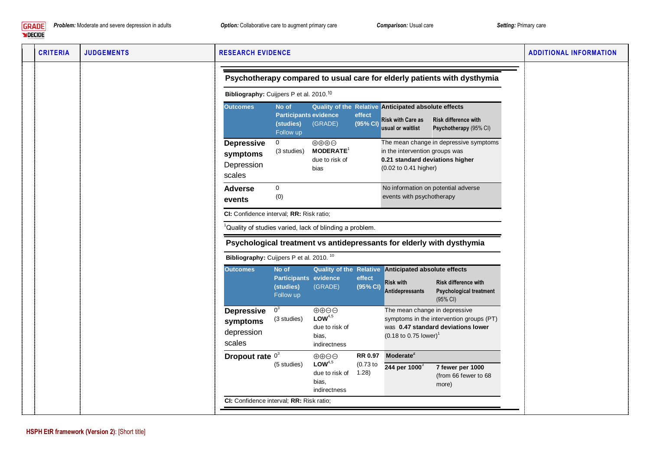

| <b>CRITERIA</b> | <b>JUDGEMENTS</b> | <b>RESEARCH EVIDENCE</b>                                            |                                                                 |                                                                                          |                    |                                                                                                |                                                                                | <b>ADDITIONAL INFORMATION</b> |
|-----------------|-------------------|---------------------------------------------------------------------|-----------------------------------------------------------------|------------------------------------------------------------------------------------------|--------------------|------------------------------------------------------------------------------------------------|--------------------------------------------------------------------------------|-------------------------------|
|                 |                   |                                                                     |                                                                 |                                                                                          |                    |                                                                                                |                                                                                |                               |
|                 |                   |                                                                     |                                                                 |                                                                                          |                    |                                                                                                | Psychotherapy compared to usual care for elderly patients with dysthymia       |                               |
|                 |                   | Bibliography: Cuijpers P et al. 2010. <sup>10</sup>                 |                                                                 |                                                                                          |                    |                                                                                                |                                                                                |                               |
|                 |                   | <b>Outcomes</b>                                                     | No of<br><b>Participants evidence</b><br>(studies)<br>Follow up | (GRADE)                                                                                  | effect<br>(95% CI) | Quality of the Relative Anticipated absolute effects<br>Risk with Care as<br>usual or waitlist | Risk difference with<br>Psychotherapy (95% CI)                                 |                               |
|                 |                   | <b>Depressive</b><br>symptoms<br>Depression<br>scales               | 0<br>(3 studies)                                                | $\oplus \oplus \oplus$<br>$MODERATE$ <sup>1</sup><br>due to risk of<br>bias              |                    | in the intervention groups was<br>0.21 standard deviations higher<br>(0.02 to 0.41 higher)     | The mean change in depressive symptoms                                         |                               |
|                 |                   | <b>Adverse</b><br>events                                            | $\mathsf 0$<br>(0)                                              |                                                                                          |                    | No information on potential adverse<br>events with psychotherapy                               |                                                                                |                               |
|                 |                   | CI: Confidence interval; RR: Risk ratio;                            |                                                                 |                                                                                          |                    |                                                                                                |                                                                                |                               |
|                 |                   | <sup>1</sup> Quality of studies varied, lack of blinding a problem. |                                                                 |                                                                                          |                    |                                                                                                |                                                                                |                               |
|                 |                   |                                                                     |                                                                 |                                                                                          |                    | Psychological treatment vs antidepressants for elderly with dysthymia                          |                                                                                |                               |
|                 |                   | Bibliography: Cuijpers P et al. 2010. <sup>10</sup>                 |                                                                 |                                                                                          |                    |                                                                                                |                                                                                |                               |
|                 |                   | <b>Outcomes</b>                                                     | No of                                                           |                                                                                          |                    | Quality of the Relative Anticipated absolute effects                                           |                                                                                |                               |
|                 |                   |                                                                     | Participants evidence<br>(studies)<br>Follow up                 | (GRADE)                                                                                  | effect<br>(95% CI) | <b>Risk with</b><br>Antidepressants                                                            | <b>Risk difference with</b><br>Psychological treatment<br>(95% CI)             |                               |
|                 |                   | <b>Depressive</b><br>symptoms<br>depression<br>scales               | $0^3$<br>(3 studies)                                            | $\oplus \oplus \ominus$<br>LOW <sup>4,5</sup><br>due to risk of<br>bias,<br>indirectness |                    | The mean change in depressive<br>$(0.18 \text{ to } 0.75 \text{ lower})^1$                     | symptoms in the intervention groups (PT)<br>was 0.47 standard deviations lower |                               |
|                 |                   | Dropout rate $0^3$                                                  |                                                                 | $\oplus \oplus \ominus$                                                                  | <b>RR 0.97</b>     | Moderate <sup>2</sup>                                                                          |                                                                                |                               |
|                 |                   |                                                                     | (5 studies)                                                     | LOW <sup>4,5</sup><br>due to risk of<br>bias,<br>indirectness                            | (0.73)<br>(1.28)   | 244 per 1000 <sup>3</sup>                                                                      | 7 fewer per 1000<br>(from 66 fewer to 68<br>more)                              |                               |
|                 |                   | CI: Confidence interval; RR: Risk ratio;                            |                                                                 |                                                                                          |                    |                                                                                                |                                                                                |                               |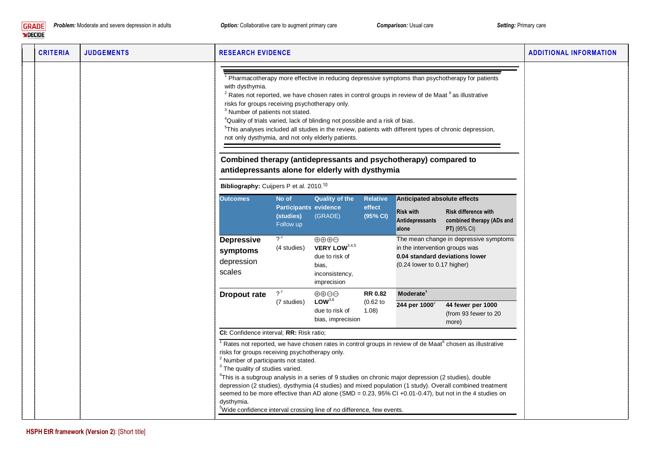

| <b>CRITERIA</b> | <b>JUDGEMENTS</b> | <b>RESEARCH EVIDENCE</b>                                                                                                                                                                                                                                                                                                                                                                                                                                                                                                                                                                                                                                                                                                                                  |                                                                 |                                                                                                                        |                                       |                                                                                                     |                                                                                                                                                                                                                                                                                                                                      | <b>ADDITIONAL INFORMATION</b> |
|-----------------|-------------------|-----------------------------------------------------------------------------------------------------------------------------------------------------------------------------------------------------------------------------------------------------------------------------------------------------------------------------------------------------------------------------------------------------------------------------------------------------------------------------------------------------------------------------------------------------------------------------------------------------------------------------------------------------------------------------------------------------------------------------------------------------------|-----------------------------------------------------------------|------------------------------------------------------------------------------------------------------------------------|---------------------------------------|-----------------------------------------------------------------------------------------------------|--------------------------------------------------------------------------------------------------------------------------------------------------------------------------------------------------------------------------------------------------------------------------------------------------------------------------------------|-------------------------------|
|                 |                   | <sup>1</sup> Pharmacotherapy more effective in reducing depressive symptoms than psychotherapy for patients<br>with dysthymia.<br><sup>2</sup> Rates not reported, we have chosen rates in control groups in review of de Maat <sup>6</sup> as illustrative<br>risks for groups receiving psychotherapy only.<br><sup>3</sup> Number of patients not stated.<br><sup>4</sup> Quality of trials varied, lack of blinding not possible and a risk of bias.<br>${}^{5}$ This analyses included all studies in the review, patients with different types of chronic depression,<br>not only dysthymia, and not only elderly patients.<br>Combined therapy (antidepressants and psychotherapy) compared to<br>antidepressants alone for elderly with dysthymia |                                                                 |                                                                                                                        |                                       |                                                                                                     |                                                                                                                                                                                                                                                                                                                                      |                               |
|                 |                   | Bibliography: Cuijpers P et al. 2010. <sup>10</sup>                                                                                                                                                                                                                                                                                                                                                                                                                                                                                                                                                                                                                                                                                                       |                                                                 |                                                                                                                        |                                       |                                                                                                     |                                                                                                                                                                                                                                                                                                                                      |                               |
|                 |                   | <b>Outcomes</b>                                                                                                                                                                                                                                                                                                                                                                                                                                                                                                                                                                                                                                                                                                                                           | No of<br><b>Participants evidence</b><br>(studies)<br>Follow up | <b>Quality of the</b><br>(GRADE)                                                                                       | <b>Relative</b><br>effect<br>(95% CI) | Anticipated absolute effects<br><b>Risk with</b><br>Antidepressants<br>alone                        | Risk difference with<br>combined therapy (ADs and<br>PT) (95% CI)                                                                                                                                                                                                                                                                    |                               |
|                 |                   | <b>Depressive</b><br>symptoms<br>depression<br>scales                                                                                                                                                                                                                                                                                                                                                                                                                                                                                                                                                                                                                                                                                                     | $\frac{2}{3}$<br>(4 studies)                                    | $\oplus \oplus \oplus$<br><b>VERY LOW</b> <sup>3,4,5</sup><br>due to risk of<br>bias,<br>inconsistency,<br>imprecision |                                       | in the intervention groups was<br>0.04 standard deviations lower<br>$(0.24$ lower to $0.17$ higher) | The mean change in depressive symptoms                                                                                                                                                                                                                                                                                               |                               |
|                 |                   | <b>Dropout rate</b>                                                                                                                                                                                                                                                                                                                                                                                                                                                                                                                                                                                                                                                                                                                                       | $2^2$                                                           | $\oplus \oplus \ominus$                                                                                                | <b>RR 0.82</b>                        | Moderate <sup>1</sup>                                                                               |                                                                                                                                                                                                                                                                                                                                      |                               |
|                 |                   |                                                                                                                                                                                                                                                                                                                                                                                                                                                                                                                                                                                                                                                                                                                                                           | (7 studies)                                                     | LOW <sup>3,6</sup><br>due to risk of<br>bias, imprecision                                                              | (0.62)<br>(1.08)                      | 244 per $1000^2$                                                                                    | 44 fewer per 1000<br>(from 93 fewer to 20<br>more)                                                                                                                                                                                                                                                                                   |                               |
|                 |                   | CI: Confidence interval; RR: Risk ratio;                                                                                                                                                                                                                                                                                                                                                                                                                                                                                                                                                                                                                                                                                                                  |                                                                 |                                                                                                                        |                                       |                                                                                                     |                                                                                                                                                                                                                                                                                                                                      |                               |
|                 |                   | risks for groups receiving psychotherapy only.<br><sup>2</sup> Number of participants not stated.<br><sup>3</sup> The quality of studies varied.<br><sup>4</sup> This is a subgroup analysis in a series of 9 studies on chronic major depression (2 studies), double<br>dysthymia.<br><sup>5</sup> Wide confidence interval crossing line of no difference, few events.                                                                                                                                                                                                                                                                                                                                                                                  |                                                                 |                                                                                                                        |                                       |                                                                                                     | $1$ Rates not reported, we have chosen rates in control groups in review of de Maat $6$ chosen as illustrative<br>depression (2 studies), dysthymia (4 studies) and mixed population (1 study). Overall combined treatment<br>seemed to be more effective than AD alone (SMD = 0.23, 95% CI +0.01-0.47), but not in the 4 studies on |                               |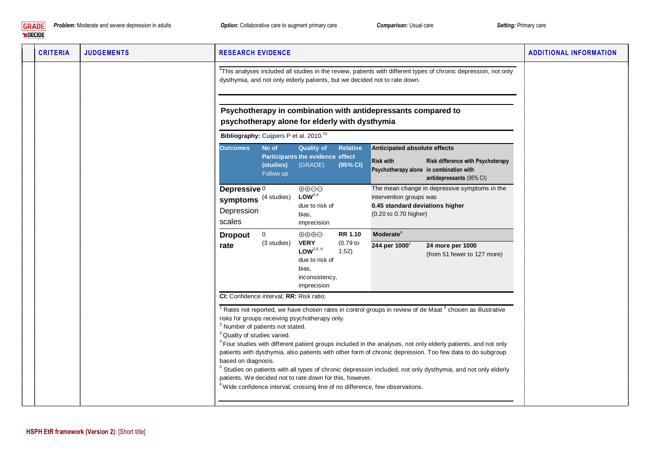

| <b>CRITERIA</b> | <b>JUDGEMENTS</b> | <b>RESEARCH EVIDENCE</b>                                                                                                                                                                                                    |                                 |                                                                                          |                             | <b>ADDITIONAL INFORMATION</b>                                                            |                                                                                                                                                                                                                                                                                                                                                                                                                                                                                                        |  |
|-----------------|-------------------|-----------------------------------------------------------------------------------------------------------------------------------------------------------------------------------------------------------------------------|---------------------------------|------------------------------------------------------------------------------------------|-----------------------------|------------------------------------------------------------------------------------------|--------------------------------------------------------------------------------------------------------------------------------------------------------------------------------------------------------------------------------------------------------------------------------------------------------------------------------------------------------------------------------------------------------------------------------------------------------------------------------------------------------|--|
|                 |                   |                                                                                                                                                                                                                             |                                 |                                                                                          |                             | dysthymia, and not only elderly patients, but we decided not to rate down.               | ${}^{6}$ This analyses included all studies in the review, patients with different types of chronic depression, not only                                                                                                                                                                                                                                                                                                                                                                               |  |
|                 |                   | psychotherapy alone for elderly with dysthymia                                                                                                                                                                              |                                 |                                                                                          |                             | Psychotherapy in combination with antidepressants compared to                            |                                                                                                                                                                                                                                                                                                                                                                                                                                                                                                        |  |
|                 |                   | Bibliography: Cuijpers P et al. 2010. <sup>10</sup>                                                                                                                                                                         |                                 |                                                                                          |                             |                                                                                          |                                                                                                                                                                                                                                                                                                                                                                                                                                                                                                        |  |
|                 |                   | <b>Outcomes</b>                                                                                                                                                                                                             | No of<br>(studies)<br>Follow up | <b>Quality of</b><br>Participants the evidence effect<br>(GRADE)                         | <b>Relative</b><br>(95% CI) | Anticipated absolute effects<br>Risk with<br>Psychotherapy alone in combination with     | Risk difference with Psychoterapy<br>antidepressants (95% CI)                                                                                                                                                                                                                                                                                                                                                                                                                                          |  |
|                 |                   | Depressive <sup>0</sup><br>symptoms <sup>(4 studies)</sup><br>Depression<br>scales                                                                                                                                          |                                 | $\oplus \oplus \ominus$<br>LOW <sup>3,4</sup><br>due to risk of<br>bias,<br>imprecision  |                             | intervention groups was<br>0.45 standard deviations higher<br>(0.20 to 0.70 higher)      | The mean change in depressive symptoms in the                                                                                                                                                                                                                                                                                                                                                                                                                                                          |  |
|                 |                   | <b>Dropout</b>                                                                                                                                                                                                              | $\pmb{0}$                       | $\oplus \oplus \oplus$                                                                   | <b>RR 1.10</b>              | Moderate <sup>1</sup>                                                                    |                                                                                                                                                                                                                                                                                                                                                                                                                                                                                                        |  |
|                 |                   | rate                                                                                                                                                                                                                        | (3 studies)                     | <b>VERY</b><br>$LOW^{3,5,6}$<br>due to risk of<br>bias,<br>inconsistency,<br>imprecision | (0.79)<br>1.52)             | 244 per $1000^2$                                                                         | 24 more per 1000<br>(from 51 fewer to 127 more)                                                                                                                                                                                                                                                                                                                                                                                                                                                        |  |
|                 |                   | CI: Confidence interval; RR: Risk ratio;                                                                                                                                                                                    |                                 |                                                                                          |                             |                                                                                          |                                                                                                                                                                                                                                                                                                                                                                                                                                                                                                        |  |
|                 |                   | risks for groups receiving psychotherapy only.<br><sup>2</sup> Number of patients not stated.<br><sup>3</sup> Quality of studies varied.<br>based on diagnosis.<br>patients. We decided not to rate down for this, however. |                                 |                                                                                          |                             | <sup>6</sup> Wide confidence interval, crossing line of no difference, few observations. | <sup>1</sup> Rates not reported, we have chosen rates in control groups in review of de Maat <sup>6</sup> chosen as illustrative<br><sup>4</sup> Four studies with different patient groups included in the analyses, not only elderly patients, and not only<br>patients with dysthymia, also patients with other form of chronic depression. Too few data to do subgroup<br><sup>5</sup> Studies on patients with all types of chronic depression included, not only dysthymia, and not only elderly |  |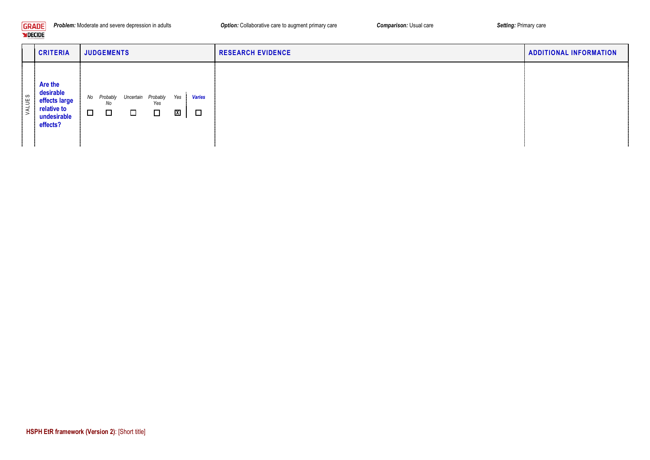

<span id="page-9-0"></span>

|        | <b>CRITERIA</b>                                                                        | <b>JUDGEMENTS</b>                                                                                                              | <b>RESEARCH EVIDENCE</b> | <b>ADDITIONAL INFORMATION</b> |
|--------|----------------------------------------------------------------------------------------|--------------------------------------------------------------------------------------------------------------------------------|--------------------------|-------------------------------|
| VALUES | <b>Are the</b><br>desirable<br>effects large<br>relative to<br>undesirable<br>effects? | Yes<br><b>Varies</b><br>Probably<br>Probably<br>No<br>Uncertain<br>Yes<br>No<br>$\Box$<br>X<br>$\Box$<br>$\Box$<br>$\Box$<br>n |                          |                               |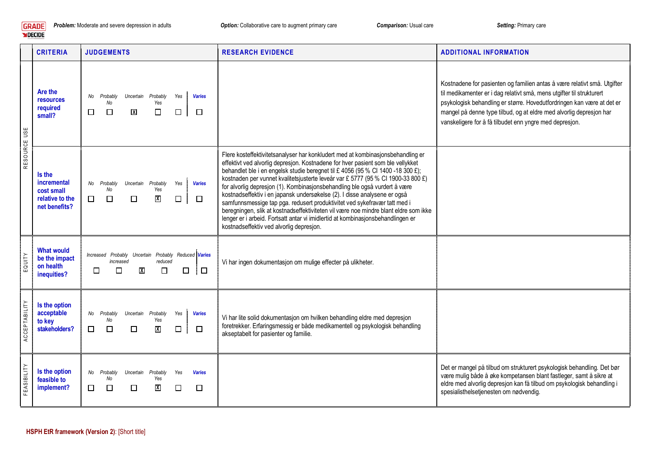

|               | <b>CRITERIA</b>                                                         | <b>JUDGEMENTS</b>                                                                                                                       | <b>RESEARCH EVIDENCE</b>                                                                                                                                                                                                                                                                                                                                                                                                                                                                                                                                                                                                                                                                                                                                                                                 | <b>ADDITIONAL INFORMATION</b>                                                                                                                                                                                                                                                                                                                                 |
|---------------|-------------------------------------------------------------------------|-----------------------------------------------------------------------------------------------------------------------------------------|----------------------------------------------------------------------------------------------------------------------------------------------------------------------------------------------------------------------------------------------------------------------------------------------------------------------------------------------------------------------------------------------------------------------------------------------------------------------------------------------------------------------------------------------------------------------------------------------------------------------------------------------------------------------------------------------------------------------------------------------------------------------------------------------------------|---------------------------------------------------------------------------------------------------------------------------------------------------------------------------------------------------------------------------------------------------------------------------------------------------------------------------------------------------------------|
| RESOURCE USE  | Are the<br><b>resources</b><br>required<br>small?                       | Probably<br>Yes<br><b>Varies</b><br>No<br>Probably<br>Uncertain<br>Yes<br>No<br>$\Box$<br>$\Box$<br>X<br>$\Box$<br>$\Box$<br>□          |                                                                                                                                                                                                                                                                                                                                                                                                                                                                                                                                                                                                                                                                                                                                                                                                          | Kostnadene for pasienten og familien antas å være relativt små. Utgifter<br>til medikamenter er i dag relativt små, mens utgifter til strukturert<br>psykologisk behandling er større. Hovedutfordringen kan være at det er<br>mangel på denne type tilbud, og at eldre med alvorlig depresjon har<br>vanskeligere for å få tilbudet enn yngre med depresjon. |
|               | Is the<br>incremental<br>cost small<br>relative to the<br>net benefits? | Probably<br>Probably<br>Yes<br><b>Varies</b><br>No<br>Uncertain<br>No<br>Yes<br>X<br>$\Box$<br>$\Box$<br>$\Box$<br>$\Box$<br>$\Box$     | Flere kosteffektivitetsanalyser har konkludert med at kombinasjonsbehandling er<br>effektivt ved alvorlig depresjon. Kostnadene for hver pasient som ble vellykket<br>behandlet ble i en engelsk studie beregnet til £ 4056 (95 % CI 1400 -18 300 £);<br>kostnaden per vunnet kvalitetsjusterte leveår var £ 5777 (95 % CI 1900-33 800 £)<br>for alvorlig depresjon (1). Kombinasjonsbehandling ble også vurdert å være<br>kostnadseffektiv i en japansk undersøkelse (2). I disse analysene er også<br>samfunnsmessige tap pga. redusert produktivitet ved sykefravær tatt med i<br>beregningen, slik at kostnadseffektiviteten vil være noe mindre blant eldre som ikke<br>lenger er i arbeid. Fortsatt antar vi imidlertid at kombinasjonsbehandlingen er<br>kostnadseffektiv ved alvorlig depresjon. |                                                                                                                                                                                                                                                                                                                                                               |
| EQUITY        | <b>What would</b><br>be the impact<br>on health<br>inequities?          | Reduced Varies<br>Probably<br>Increased Probably<br>Uncertain<br>reduced<br>increased<br>$\Box$<br>X<br>$\Box$<br>$\Box$<br>◻<br>$\Box$ | Vi har ingen dokumentasjon om mulige effecter på ulikheter.                                                                                                                                                                                                                                                                                                                                                                                                                                                                                                                                                                                                                                                                                                                                              |                                                                                                                                                                                                                                                                                                                                                               |
| ACCEPTABILITY | Is the option<br>acceptable<br>to key<br>stakeholders?                  | Yes<br>No<br>Probably<br>Uncertain<br>Probably<br><b>Varies</b><br>No<br>Yes<br>$\Box$<br>$\Box$<br>X<br>$\Box$<br>$\Box$<br>$\Box$     | Vi har lite solid dokumentasjon om hvilken behandling eldre med depresjon<br>foretrekker. Erfaringsmessig er både medikamentell og psykologisk behandling<br>akseptabelt for pasienter og familie.                                                                                                                                                                                                                                                                                                                                                                                                                                                                                                                                                                                                       |                                                                                                                                                                                                                                                                                                                                                               |
| FEASIBILITY   | Is the option<br>feasible to<br>implement?                              | Probably<br>No<br>Uncertain<br>Probably<br>Yes<br><b>Varies</b><br>No<br>Yes<br>X<br>$\Box$<br>$\Box$<br>$\Box$<br>$\Box$<br>□          |                                                                                                                                                                                                                                                                                                                                                                                                                                                                                                                                                                                                                                                                                                                                                                                                          | Det er mangel på tilbud om strukturert psykologisk behandling. Det bør<br>være mulig både å øke kompetansen blant fastleger, samt å sikre at<br>eldre med alvorlig depresjon kan få tilbud om psykologisk behandling i<br>spesialisthelsetjenesten om nødvendig.                                                                                              |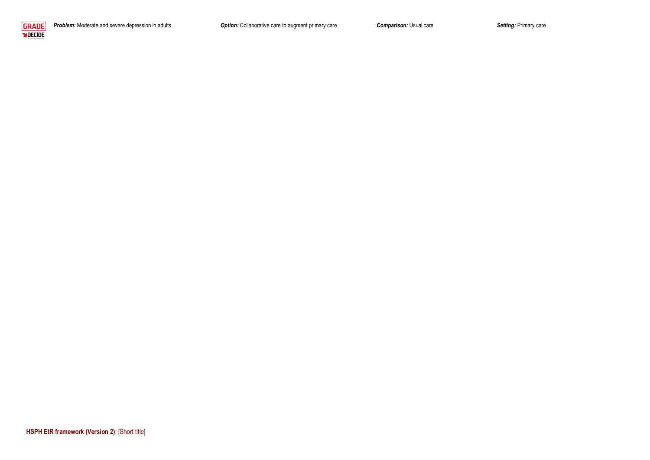

**Problem:** Moderate and severe depression in adults **Option:** Collaborative care to augment primary care **Comparison:** Usual care **Setting:** Primary care

**HSPH EtR framework (Version 2)**: [Short title]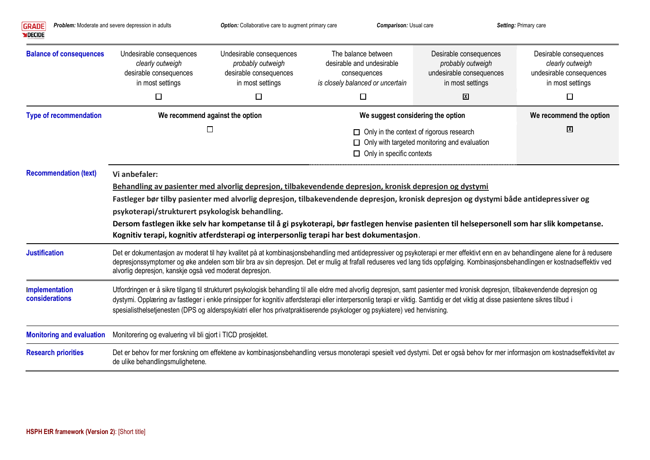<span id="page-12-2"></span><span id="page-12-1"></span><span id="page-12-0"></span>

| <b>GRADE</b><br><b>MDECIDE</b>                                                                                                                                                                                                                   | <b>Problem:</b> Moderate and severe depression in adults                                                                                                                                                                                | <b>Option:</b> Collaborative care to augment primary care                                                                                                                                                                                                                                                                                                                                                                                                                                       | Comparison: Usual care                                                                                                                                                                                                                                                                                                                                           |                                                                                             | Setting: Primary care                                                                      |  |  |  |  |
|--------------------------------------------------------------------------------------------------------------------------------------------------------------------------------------------------------------------------------------------------|-----------------------------------------------------------------------------------------------------------------------------------------------------------------------------------------------------------------------------------------|-------------------------------------------------------------------------------------------------------------------------------------------------------------------------------------------------------------------------------------------------------------------------------------------------------------------------------------------------------------------------------------------------------------------------------------------------------------------------------------------------|------------------------------------------------------------------------------------------------------------------------------------------------------------------------------------------------------------------------------------------------------------------------------------------------------------------------------------------------------------------|---------------------------------------------------------------------------------------------|--------------------------------------------------------------------------------------------|--|--|--|--|
| <b>Balance of consequences</b>                                                                                                                                                                                                                   | Undesirable consequences<br>clearly outweigh<br>desirable consequences<br>in most settings                                                                                                                                              | Undesirable consequences<br>probably outweigh<br>desirable consequences<br>in most settings                                                                                                                                                                                                                                                                                                                                                                                                     | The balance between<br>desirable and undesirable<br>consequences<br>is closely balanced or uncertain                                                                                                                                                                                                                                                             | Desirable consequences<br>probably outweigh<br>undesirable consequences<br>in most settings | Desirable consequences<br>clearly outweigh<br>undesirable consequences<br>in most settings |  |  |  |  |
|                                                                                                                                                                                                                                                  | $\Box$                                                                                                                                                                                                                                  | $\Box$                                                                                                                                                                                                                                                                                                                                                                                                                                                                                          | $\Box$                                                                                                                                                                                                                                                                                                                                                           | X                                                                                           | $\Box$                                                                                     |  |  |  |  |
| <b>Type of recommendation</b>                                                                                                                                                                                                                    |                                                                                                                                                                                                                                         | We recommend against the option                                                                                                                                                                                                                                                                                                                                                                                                                                                                 |                                                                                                                                                                                                                                                                                                                                                                  | We suggest considering the option                                                           | We recommend the option                                                                    |  |  |  |  |
|                                                                                                                                                                                                                                                  |                                                                                                                                                                                                                                         | $\Box$                                                                                                                                                                                                                                                                                                                                                                                                                                                                                          | $\Box$ Only in the context of rigorous research<br>$\Box$ Only with targeted monitoring and evaluation<br>$\Box$ Only in specific contexts                                                                                                                                                                                                                       |                                                                                             |                                                                                            |  |  |  |  |
| <b>Recommendation (text)</b>                                                                                                                                                                                                                     | Vi anbefaler:                                                                                                                                                                                                                           |                                                                                                                                                                                                                                                                                                                                                                                                                                                                                                 |                                                                                                                                                                                                                                                                                                                                                                  |                                                                                             |                                                                                            |  |  |  |  |
|                                                                                                                                                                                                                                                  | Behandling av pasienter med alvorlig depresjon, tilbakevendende depresjon, kronisk depresjon og dystymi                                                                                                                                 |                                                                                                                                                                                                                                                                                                                                                                                                                                                                                                 |                                                                                                                                                                                                                                                                                                                                                                  |                                                                                             |                                                                                            |  |  |  |  |
|                                                                                                                                                                                                                                                  | Fastleger bør tilby pasienter med alvorlig depresjon, tilbakevendende depresjon, kronisk depresjon og dystymi både antidepressiver og                                                                                                   |                                                                                                                                                                                                                                                                                                                                                                                                                                                                                                 |                                                                                                                                                                                                                                                                                                                                                                  |                                                                                             |                                                                                            |  |  |  |  |
|                                                                                                                                                                                                                                                  | psykoterapi/strukturert psykologisk behandling.                                                                                                                                                                                         |                                                                                                                                                                                                                                                                                                                                                                                                                                                                                                 |                                                                                                                                                                                                                                                                                                                                                                  |                                                                                             |                                                                                            |  |  |  |  |
|                                                                                                                                                                                                                                                  | Dersom fastlegen ikke selv har kompetanse til å gi psykoterapi, bør fastlegen henvise pasienten til helsepersonell som har slik kompetanse.<br>Kognitiv terapi, kognitiv atferdsterapi og interpersonlig terapi har best dokumentasjon. |                                                                                                                                                                                                                                                                                                                                                                                                                                                                                                 |                                                                                                                                                                                                                                                                                                                                                                  |                                                                                             |                                                                                            |  |  |  |  |
| <b>Justification</b>                                                                                                                                                                                                                             | alvorlig depresjon, kanskje også ved moderat depresjon.                                                                                                                                                                                 |                                                                                                                                                                                                                                                                                                                                                                                                                                                                                                 | Det er dokumentasjon av moderat til høy kvalitet på at kombinasjonsbehandling med antidepressiver og psykoterapi er mer effektivt enn en av behandlingene alene for å redusere<br>depresjonssymptomer og øke andelen som blir bra av sin depresjon. Det er mulig at frafall reduseres ved lang tids oppfølging. Kombinasjonsbehandlingen er kostnadseffektiv ved |                                                                                             |                                                                                            |  |  |  |  |
| <b>Implementation</b><br>considerations                                                                                                                                                                                                          |                                                                                                                                                                                                                                         | Utfordringen er å sikre tilgang til strukturert psykologisk behandling til alle eldre med alvorlig depresjon, samt pasienter med kronisk depresjon, tilbakevendende depresjon og<br>dystymi. Opplæring av fastleger i enkle prinsipper for kognitiv atferdsterapi eller interpersonlig terapi er viktig. Samtidig er det viktig at disse pasientene sikres tilbud i<br>spesialisthelsetjenesten (DPS og alderspsykiatri eller hos privatpraktiserende psykologer og psykiatere) ved henvisning. |                                                                                                                                                                                                                                                                                                                                                                  |                                                                                             |                                                                                            |  |  |  |  |
| <b>Monitoring and evaluation</b>                                                                                                                                                                                                                 | Monitorering og evaluering vil bli gjort i TICD prosjektet.                                                                                                                                                                             |                                                                                                                                                                                                                                                                                                                                                                                                                                                                                                 |                                                                                                                                                                                                                                                                                                                                                                  |                                                                                             |                                                                                            |  |  |  |  |
| Det er behov for mer forskning om effektene av kombinasjonsbehandling versus monoterapi spesielt ved dystymi. Det er også behov for mer informasjon om kostnadseffektivitet av<br><b>Research priorities</b><br>de ulike behandlingsmulighetene. |                                                                                                                                                                                                                                         |                                                                                                                                                                                                                                                                                                                                                                                                                                                                                                 |                                                                                                                                                                                                                                                                                                                                                                  |                                                                                             |                                                                                            |  |  |  |  |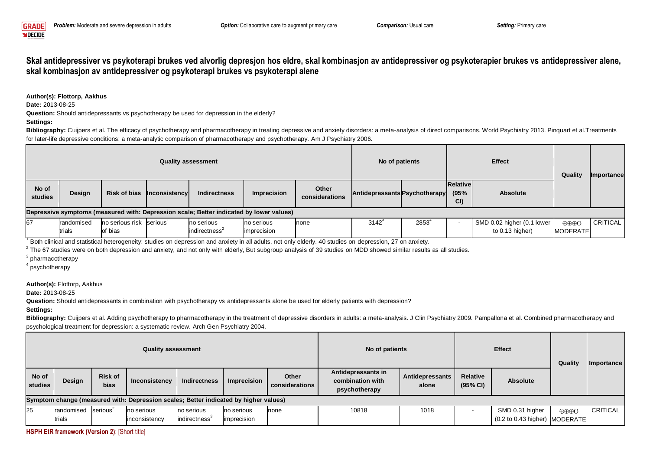

**Skal antidepressiver vs psykoterapi brukes ved alvorlig depresjon hos eldre, skal kombinasjon av antidepressiver og psykoterapier brukes vs antidepressiver alene, skal kombinasjon av antidepressiver og psykoterapi brukes vs psykoterapi alene**

### **Author(s): Flottorp, Aakhus**

**Date:** 2013-08-25

**Question:** Should antidepressants vs psychotherapy be used for depression in the elderly?

#### **Settings:**

Bibliography: Cuijpers et al. The efficacy of psychotherapy and pharmacotherapy in treating depressive and anxiety disorders: a meta-analysis of direct comparisons. World Psychiatry 2013. Pinquart et al. Treatments for later-life depressive conditions: a meta-analytic comparison of pharmacotherapy and psychotherapy. Am J Psychiatry 2006.

| <b>Quality assessment</b> |                                                                                         |                                    |               |                                         |                           |                         |                               | No of patients |                          | <b>Effect</b>                                 | Quality                                   | Importance      |
|---------------------------|-----------------------------------------------------------------------------------------|------------------------------------|---------------|-----------------------------------------|---------------------------|-------------------------|-------------------------------|----------------|--------------------------|-----------------------------------------------|-------------------------------------------|-----------------|
| No of<br>studies          | Design                                                                                  | <b>Risk of bias</b>                | Inconsistency | <b>Indirectness</b>                     | Imprecision               | Other<br>considerations | Antidepressants Psychotherapy |                | Relativel<br>(95%<br>CI) | <b>Absolute</b>                               |                                           |                 |
|                           | Depressive symptoms (measured with: Depression scale; Better indicated by lower values) |                                    |               |                                         |                           |                         |                               |                |                          |                                               |                                           |                 |
| 67                        | randomised<br>rials:                                                                    | no serious risk serious<br>of bias |               | no serious<br>indirectness <sup>2</sup> | no serious<br>imprecision | none                    | $3142^3$                      | $2853^{4}$     |                          | SMD 0.02 higher (0.1 lower<br>to 0.13 higher) | $\oplus \oplus \oplus$<br><b>MODERATE</b> | <b>CRITICAL</b> |

<sup>1</sup> Both clinical and statistical heterogeneity: studies on depression and anxiety in all adults, not only elderly. 40 studies on depression, 27 on anxiety.

 $^2$  The 67 studies were on both depression and anxiety, and not only with elderly, But subgroup analysis of 39 studies on MDD showed similar results as all studies.

<sup>3</sup> pharmacotherapy

4 psychotherapy

**Author(s):** Flottorp, Aakhus

**Date:** 2013-08-25

**Question:** Should antidepressants in combination with psychotherapy vs antidepressants alone be used for elderly patients with depression?

#### **Settings:**

Bibliography: Cuijpers et al. Adding psychotherapy to pharmacotherapy in the treatment of depressive disorders in adults: a meta-analysis. J Clin Psychiatry 2009. Pampallona et al. Combined pharmacotherapy and psychological treatment for depression: a systematic review. Arch Gen Psychiatry 2004.

| <b>Quality assessment</b> |                                                                                      |                               |                             |                            |                           | No of patients                 |                                                         |                          | <b>Effect</b>        |                                                  | <b>Importance</b>   |          |
|---------------------------|--------------------------------------------------------------------------------------|-------------------------------|-----------------------------|----------------------------|---------------------------|--------------------------------|---------------------------------------------------------|--------------------------|----------------------|--------------------------------------------------|---------------------|----------|
| No of<br>studies          | Design                                                                               | <b>Risk of</b><br><b>bias</b> | Inconsistency               | <b>Indirectness</b>        | <b>Imprecision</b>        | <b>Other</b><br>considerations | Antidepressants in<br>combination with<br>psychotherapy | Antidepressants<br>alone | Relative<br>(95% CI) | <b>Absolute</b>                                  |                     |          |
|                           | Symptom change (measured with: Depression scales; Better indicated by higher values) |                               |                             |                            |                           |                                |                                                         |                          |                      |                                                  |                     |          |
| $25^1$                    | randomised<br>trials                                                                 | serious <sup>2</sup>          | no serious<br>inconsistency | no serious<br>indirectness | no serious<br>imprecision | none                           | 10818                                                   | 1018                     |                      | SMD 0.31 higher<br>(0.2 to 0.43 higher) MODERATE | $\oplus$ $\oplus$ O | CRITICAL |

**HSPH EtR framework (Version 2): [Short title]**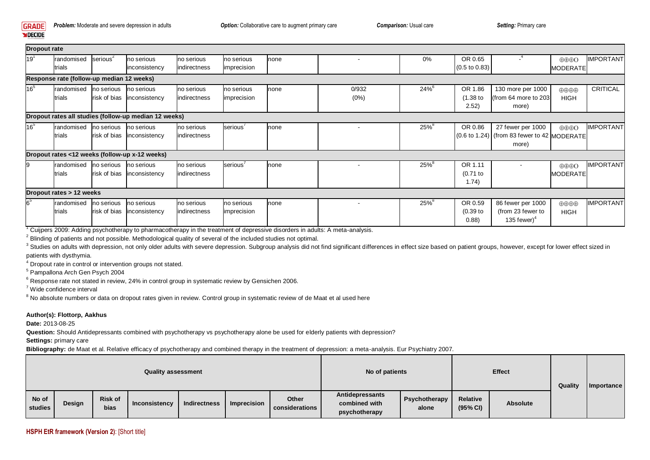

| <b>Dropout rate</b>                       |                          |                      |                                                       |              |                       |      |       |                     |                          |                                             |                        |                  |
|-------------------------------------------|--------------------------|----------------------|-------------------------------------------------------|--------------|-----------------------|------|-------|---------------------|--------------------------|---------------------------------------------|------------------------|------------------|
| $19^1$                                    | randomised               | serious <sup>2</sup> | no serious                                            | no serious   | no serious            | none |       | 0%                  | OR 0.65                  |                                             | $\oplus \oplus \oplus$ | <b>IMPORTANT</b> |
|                                           | trials                   |                      | inconsistency                                         | indirectness | imprecision           |      |       |                     | $(0.5 \text{ to } 0.83)$ |                                             | <b>MODERATE</b>        |                  |
| Response rate (follow-up median 12 weeks) |                          |                      |                                                       |              |                       |      |       |                     |                          |                                             |                        |                  |
| $16^{5}$                                  | randomised               | no serious           | no serious                                            | no serious   | no serious            | none | 0/932 | $24\%$ <sup>6</sup> | OR 1.86                  | 130 more per 1000                           | $\oplus\oplus\oplus$   | <b>CRITICAL</b>  |
|                                           | trials                   | risk of bias         | inconsistency                                         | indirectness | imprecision           |      | (0%)  |                     | $(1.38$ to               | (from 64 more to 203)                       | <b>HIGH</b>            |                  |
|                                           |                          |                      |                                                       |              |                       |      |       |                     | 2.52)                    | more)                                       |                        |                  |
|                                           |                          |                      | Dropout rates all studies (follow-up median 12 weeks) |              |                       |      |       |                     |                          |                                             |                        |                  |
| $16^{5}$                                  | randomised               | no serious           | no serious                                            | no serious   | serious'              | none |       | $25\%$ <sup>8</sup> | OR 0.86                  | 27 fewer per 1000                           | $\oplus \oplus \oplus$ | <b>IMPORTANT</b> |
|                                           | trials                   | risk of bias         | inconsistency                                         | indirectness |                       |      |       |                     |                          | (0.6 to 1.24) (from 83 fewer to 42 MODERATE |                        |                  |
|                                           |                          |                      |                                                       |              |                       |      |       |                     |                          | more)                                       |                        |                  |
|                                           |                          |                      | Dropout rates <12 weeks (follow-up x-12 weeks)        |              |                       |      |       |                     |                          |                                             |                        |                  |
|                                           | randomised               | no serious           | no serious                                            | no serious   | serious ${}^{\prime}$ | none |       | $25\%$              | OR 1.11                  |                                             | $\oplus \oplus \oplus$ | <b>IMPORTANT</b> |
|                                           | trials                   | risk of bias         | inconsistency                                         | indirectness |                       |      |       |                     | $(0.71$ to               |                                             | <b>MODERATE</b>        |                  |
|                                           |                          |                      |                                                       |              |                       |      |       |                     | 1.74)                    |                                             |                        |                  |
|                                           | Dropout rates > 12 weeks |                      |                                                       |              |                       |      |       |                     |                          |                                             |                        |                  |
|                                           | randomised               | no serious           | no serious                                            | no serious   | no serious            | none |       | $25\%$              | OR 0.59                  | 86 fewer per 1000                           | $\oplus \oplus \oplus$ | <b>IMPORTANT</b> |
|                                           | trials                   | risk of bias         | inconsistency                                         | indirectness | imprecision           |      |       |                     | $(0.39)$ to              | (from 23 fewer to                           | <b>HIGH</b>            |                  |
|                                           |                          |                      |                                                       |              |                       |      |       |                     | (0.88)                   | 135 fewer $)^4$                             |                        |                  |

<sup>1</sup> Cuijpers 2009: Adding psychotherapy to pharmacotherapy in the treatment of depressive disorders in adults: A meta-analysis.

 $^2$  Blinding of patients and not possible. Methodological quality of several of the included studies not optimal.

<sup>3</sup> Studies on adults with depression, not only older adults with severe depression. Subgroup analysis did not find significant differences in effect size based on patient groups, however, except for lower effect sized in patients with dysthymia.

<sup>4</sup> Dropout rate in control or intervention groups not stated.

<sup>5</sup> Pampallona Arch Gen Psych 2004

 $6$  Response rate not stated in review, 24% in control group in systematic review by Gensichen 2006.

<sup>7</sup> Wide confidence interval

<sup>8</sup> No absolute numbers or data on dropout rates given in review. Control group in systematic review of de Maat et al used here

#### **Author(s): Flottorp, Aakhus**

**Date:** 2013-08-25

**Question:** Should Antidepressants combined with psychotherapy vs psychotherapy alone be used for elderly patients with depression?

**Settings:** primary care

**Bibliography:** de Maat et al. Relative efficacy of psychotherapy and combined therapy in the treatment of depression: a meta-analysis. Eur Psychiatry 2007.

| <b>Quality assessment</b> |        |                        |               |              |             |                         | No of patients                                    |                        | <b>Effect</b>        |                 | Quality | Importance |
|---------------------------|--------|------------------------|---------------|--------------|-------------|-------------------------|---------------------------------------------------|------------------------|----------------------|-----------------|---------|------------|
| No of<br>studies          | Design | <b>Risk of</b><br>bias | Inconsistency | Indirectness | Imprecision | Other<br>considerations | Antidepressants<br>combined with<br>psychotherapy | Psychotherapy<br>alone | Relative<br>(95% CI) | <b>Absolute</b> |         |            |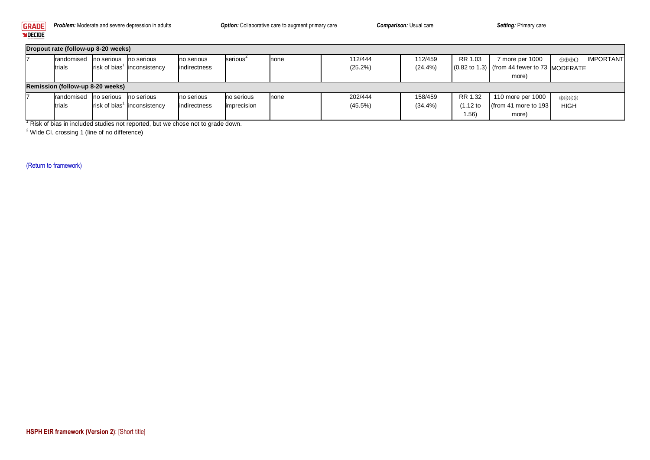

| Dropout rate (follow-up 8-20 weeks) |                           |                            |              |                      |      |            |            |          |                                                         |                        |                  |
|-------------------------------------|---------------------------|----------------------------|--------------|----------------------|------|------------|------------|----------|---------------------------------------------------------|------------------------|------------------|
| randomised                          | no serious                | no serious                 | no serious   | serious <sup>2</sup> | none | 112/444    | 112/459    | RR 1.03  | 7 more per 1000                                         | $\oplus$ $\oplus$ O    | <b>IMPORTANT</b> |
| trials                              |                           | risk of bias inconsistency | indirectness |                      |      | $(25.2\%)$ | $(24.4\%)$ |          | $(0.82 \text{ to } 1.3)$ (from 44 fewer to 73 MODERATE) |                        |                  |
|                                     |                           |                            |              |                      |      |            |            |          | more)                                                   |                        |                  |
| Remission (follow-up 8-20 weeks)    |                           |                            |              |                      |      |            |            |          |                                                         |                        |                  |
|                                     |                           |                            |              |                      |      |            |            |          |                                                         |                        |                  |
| randomised                          | no serious                | no serious                 | no serious   | no serious           | none | 202/444    | 158/459    | RR 1.32  | 110 more per 1000                                       | $\oplus \oplus \oplus$ |                  |
| trials                              | risk of bias <sup>1</sup> | inconsistency              | indirectness | imprecision          |      | $(45.5\%)$ | $(34.4\%)$ | (1.12 to | (from 41 more to 193                                    | <b>HIGH</b>            |                  |

 $1$  Risk of bias in included studies not reported, but we chose not to grade down.

 $2$  Wide CI, crossing 1 (line of no difference)

(Return to framework)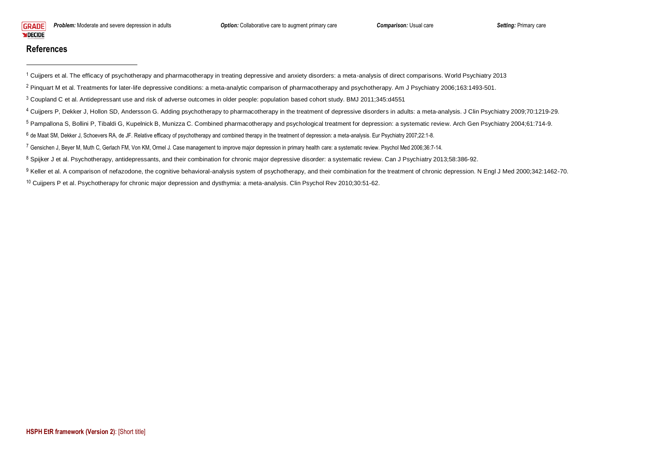

 $\overline{a}$ 

## **References**

 $1$  Cuijpers et al. The efficacy of psychotherapy and pharmacotherapy in treating depressive and anxiety disorders: a meta-analysis of direct comparisons. World Psychiatry 2013

<sup>2</sup> Pinquart M et al. Treatments for later-life depressive conditions: a meta-analytic comparison of pharmacotherapy and psychotherapy. Am J Psychiatry 2006;163:1493-501.

 $3$  Coupland C et al. Antidepressant use and risk of adverse outcomes in older people: population based cohort study. BMJ 2011;345:d4551

4 Cuijpers P, Dekker J, Hollon SD, Andersson G. Adding psychotherapy to pharmacotherapy in the treatment of depressive disorders in adults: a meta-analysis. J Clin Psychiatry 2009;70:1219-29.

5 Pampallona S, Bollini P, Tibaldi G, Kupelnick B, Munizza C. Combined pharmacotherapy and psychological treatment for depression: a systematic review. Arch Gen Psychiatry 2004;61:714-9.

6 de Maat SM, Dekker J, Schoevers RA, de JF. Relative efficacy of psychotherapy and combined therapy in the treatment of depression: a meta-analysis. Eur Psychiatry 2007;22:1-8.

7 Gensichen J, Beyer M, Muth C, Gerlach FM, Von KM, Ormel J. Case management to improve major depression in primary health care: a systematic review. Psychol Med 2006;36:7-14.

8 Spijker J et al. Psychotherapy, antidepressants, and their combination for chronic major depressive disorder: a systematic review. Can J Psychiatry 2013;58:386-92.

9 Keller et al. A comparison of nefazodone, the cognitive behavioral-analysis system of psychotherapy, and their combination for the treatment of chronic depression. N Engl J Med 2000;342:1462-70.

10 Cuijpers P et al. Psychotherapy for chronic major depression and dysthymia: a meta-analysis. Clin Psychol Rev 2010;30:51-62.